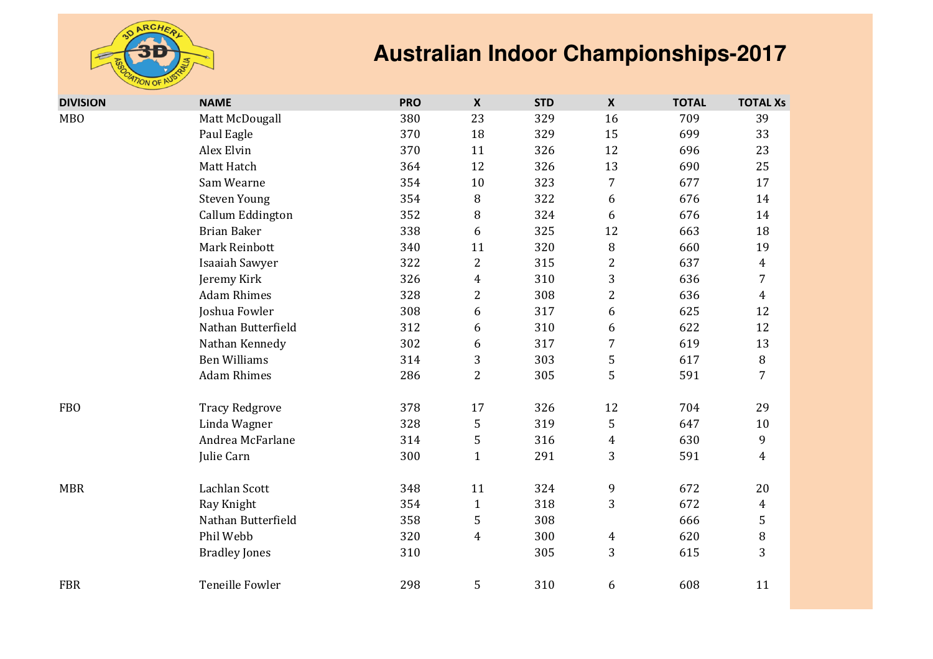

| <b>DIVISION</b> | <b>NAME</b>            | <b>PRO</b> | $\boldsymbol{X}$ | <b>STD</b> | $\boldsymbol{X}$        | <b>TOTAL</b> | <b>TOTAL Xs</b> |
|-----------------|------------------------|------------|------------------|------------|-------------------------|--------------|-----------------|
| <b>MBO</b>      | Matt McDougall         | 380        | 23               | 329        | 16                      | 709          | 39              |
|                 | Paul Eagle             | 370        | 18               | 329        | 15                      | 699          | 33              |
|                 | Alex Elvin             | 370        | 11               | 326        | 12                      | 696          | 23              |
|                 | Matt Hatch             | 364        | 12               | 326        | 13                      | 690          | 25              |
|                 | Sam Wearne             | 354        | 10               | 323        | $\overline{7}$          | 677          | 17              |
|                 | <b>Steven Young</b>    | 354        | $\, 8$           | 322        | 6                       | 676          | 14              |
|                 | Callum Eddington       | 352        | $\, 8$           | 324        | 6                       | 676          | 14              |
|                 | <b>Brian Baker</b>     | 338        | 6                | 325        | 12                      | 663          | 18              |
|                 | Mark Reinbott          | 340        | 11               | 320        | $\, 8$                  | 660          | 19              |
|                 | <b>Isaaiah Sawyer</b>  | 322        | $\overline{2}$   | 315        | $\overline{\mathbf{c}}$ | 637          | $\overline{4}$  |
|                 | Jeremy Kirk            | 326        | $\overline{4}$   | 310        | $\sqrt{3}$              | 636          | $\overline{7}$  |
|                 | <b>Adam Rhimes</b>     | 328        | $\overline{c}$   | 308        | $\overline{c}$          | 636          | $\overline{4}$  |
|                 | Joshua Fowler          | 308        | 6                | 317        | 6                       | 625          | 12              |
|                 | Nathan Butterfield     | 312        | 6                | 310        | 6                       | 622          | 12              |
|                 | Nathan Kennedy         | 302        | 6                | 317        | 7                       | 619          | 13              |
|                 | <b>Ben Williams</b>    | 314        | 3                | 303        | 5                       | 617          | $\, 8$          |
|                 | <b>Adam Rhimes</b>     | 286        | $\overline{2}$   | 305        | 5                       | 591          | $\overline{7}$  |
| <b>FBO</b>      | <b>Tracy Redgrove</b>  | 378        | 17               | 326        | 12                      | 704          | 29              |
|                 | Linda Wagner           | 328        | 5                | 319        | 5                       | 647          | $10\,$          |
|                 | Andrea McFarlane       | 314        | 5                | 316        | $\overline{4}$          | 630          | 9               |
|                 | Julie Carn             | 300        | $\mathbf{1}$     | 291        | $\mathbf{3}$            | 591          | $\overline{4}$  |
| <b>MBR</b>      | Lachlan Scott          | 348        | 11               | 324        | 9                       | 672          | 20              |
|                 | Ray Knight             | 354        | $\mathbf{1}$     | 318        | 3                       | 672          | $\overline{4}$  |
|                 | Nathan Butterfield     | 358        | 5                | 308        |                         | 666          | 5               |
|                 | Phil Webb              | 320        | 4                | 300        | $\overline{4}$          | 620          | $\, 8$          |
|                 | <b>Bradley Jones</b>   | 310        |                  | 305        | 3                       | 615          | 3               |
| <b>FBR</b>      | <b>Teneille Fowler</b> | 298        | 5                | 310        | 6                       | 608          | 11              |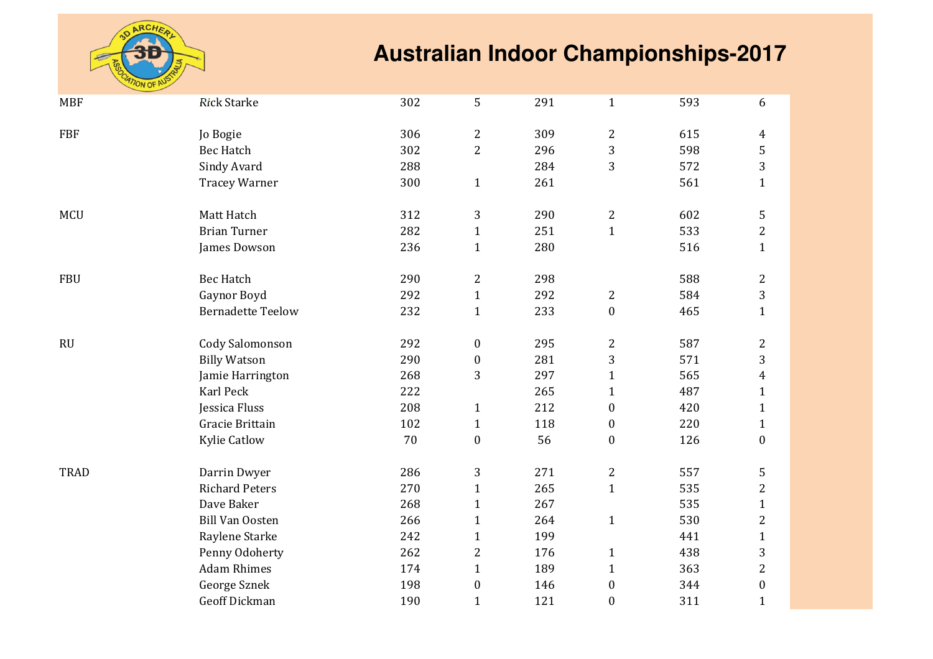

| <b>MBF</b>  | <b>Rick Starke</b>       | 302    | 5                | 291 | $\mathbf{1}$     | 593 | 6                |
|-------------|--------------------------|--------|------------------|-----|------------------|-----|------------------|
| <b>FBF</b>  | Jo Bogie                 | 306    | 2                | 309 | $\mathbf{2}$     | 615 | $\overline{4}$   |
|             | <b>Bec Hatch</b>         | 302    | $\overline{2}$   | 296 | 3                | 598 | 5                |
|             | Sindy Avard              | 288    |                  | 284 | 3                | 572 | 3                |
|             | <b>Tracey Warner</b>     | 300    | $\mathbf{1}$     | 261 |                  | 561 | $\mathbf{1}$     |
| <b>MCU</b>  | Matt Hatch               | 312    | 3                | 290 | $\overline{2}$   | 602 | 5                |
|             | <b>Brian Turner</b>      | 282    | $\mathbf{1}$     | 251 | $\mathbf{1}$     | 533 | $\overline{2}$   |
|             | James Dowson             | 236    | $\mathbf{1}$     | 280 |                  | 516 | $\mathbf{1}$     |
| <b>FBU</b>  | <b>Bec Hatch</b>         | 290    | $\overline{c}$   | 298 |                  | 588 | $\overline{c}$   |
|             | Gaynor Boyd              | 292    | $\mathbf{1}$     | 292 | $\overline{2}$   | 584 | 3                |
|             | <b>Bernadette Teelow</b> | 232    | $\mathbf{1}$     | 233 | $\boldsymbol{0}$ | 465 | $\mathbf{1}$     |
| RU          | Cody Salomonson          | 292    | $\boldsymbol{0}$ | 295 | $\overline{c}$   | 587 | $\overline{c}$   |
|             | <b>Billy Watson</b>      | 290    | $\boldsymbol{0}$ | 281 | 3                | 571 | 3                |
|             | Jamie Harrington         | 268    | 3                | 297 | $\mathbf{1}$     | 565 | $\overline{4}$   |
|             | <b>Karl Peck</b>         | 222    |                  | 265 | $\mathbf{1}$     | 487 | $\mathbf{1}$     |
|             | Jessica Fluss            | 208    | $\mathbf{1}$     | 212 | $\boldsymbol{0}$ | 420 | $\mathbf{1}$     |
|             | Gracie Brittain          | 102    | $\mathbf{1}$     | 118 | $\boldsymbol{0}$ | 220 | $\mathbf{1}$     |
|             | <b>Kylie Catlow</b>      | $70\,$ | $\boldsymbol{0}$ | 56  | $\boldsymbol{0}$ | 126 | $\boldsymbol{0}$ |
| <b>TRAD</b> | Darrin Dwyer             | 286    | 3                | 271 | $\overline{2}$   | 557 | 5                |
|             | <b>Richard Peters</b>    | 270    | $\mathbf{1}$     | 265 | $\mathbf{1}$     | 535 | $\overline{2}$   |
|             | Dave Baker               | 268    | $\mathbf{1}$     | 267 |                  | 535 | $\mathbf{1}$     |
|             | <b>Bill Van Oosten</b>   | 266    | $\mathbf{1}$     | 264 | $\mathbf{1}$     | 530 | $\overline{c}$   |
|             | Raylene Starke           | 242    | $\mathbf{1}$     | 199 |                  | 441 | $\mathbf{1}$     |
|             | Penny Odoherty           | 262    | 2                | 176 | $\mathbf{1}$     | 438 | 3                |
|             | <b>Adam Rhimes</b>       | 174    | $\mathbf{1}$     | 189 | $\mathbf{1}$     | 363 | 2                |
|             | George Sznek             | 198    | $\boldsymbol{0}$ | 146 | $\boldsymbol{0}$ | 344 | $\boldsymbol{0}$ |
|             | <b>Geoff Dickman</b>     | 190    | $\mathbf{1}$     | 121 | $\boldsymbol{0}$ | 311 | $\mathbf{1}$     |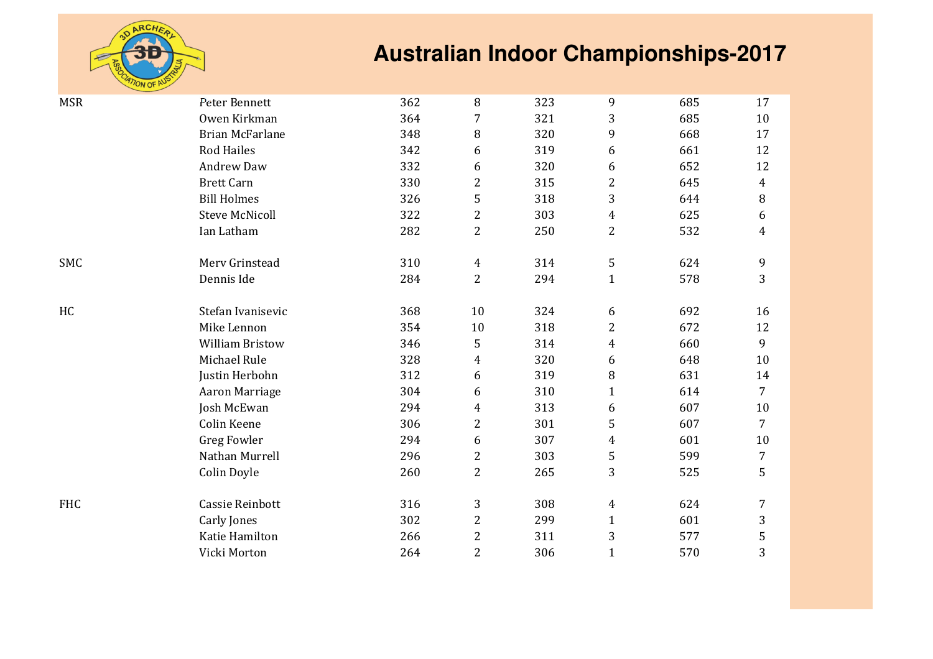

| <b>MSR</b> | Peter Bennett          | 362 | $\, 8$         | 323 | 9              | 685 | 17 |
|------------|------------------------|-----|----------------|-----|----------------|-----|----|
|            | Owen Kirkman           | 364 | 7              | 321 | 3              | 685 | 10 |
|            | <b>Brian McFarlane</b> | 348 | 8              | 320 | 9              | 668 | 17 |
|            | <b>Rod Hailes</b>      | 342 | 6              | 319 | 6              | 661 | 12 |
|            | <b>Andrew Daw</b>      | 332 | 6              | 320 | 6              | 652 | 12 |
|            | <b>Brett Carn</b>      | 330 | 2              | 315 | $\overline{2}$ | 645 | 4  |
|            | <b>Bill Holmes</b>     | 326 | 5              | 318 | 3              | 644 | 8  |
|            | <b>Steve McNicoll</b>  | 322 | $\overline{2}$ | 303 | 4              | 625 | 6  |
|            | Ian Latham             | 282 | $\overline{2}$ | 250 | $\overline{2}$ | 532 | 4  |
| <b>SMC</b> | Merv Grinstead         | 310 | $\overline{4}$ | 314 | 5              | 624 | 9  |
|            | Dennis Ide             | 284 | $\overline{2}$ | 294 | $\mathbf{1}$   | 578 | 3  |
| HC         | Stefan Ivanisevic      | 368 | 10             | 324 | 6              | 692 | 16 |
|            | Mike Lennon            | 354 | 10             | 318 | 2              | 672 | 12 |
|            | <b>William Bristow</b> | 346 | 5              | 314 | $\overline{4}$ | 660 | 9  |
|            | Michael Rule           | 328 | 4              | 320 | 6              | 648 | 10 |
|            | Justin Herbohn         | 312 | 6              | 319 | 8              | 631 | 14 |
|            | Aaron Marriage         | 304 | 6              | 310 | $\mathbf{1}$   | 614 | 7  |
|            | Josh McEwan            | 294 | $\overline{4}$ | 313 | 6              | 607 | 10 |
|            | Colin Keene            | 306 | $\overline{2}$ | 301 | 5              | 607 | 7  |
|            | <b>Greg Fowler</b>     | 294 | 6              | 307 | 4              | 601 | 10 |
|            | Nathan Murrell         | 296 | 2              | 303 | 5              | 599 | 7  |
|            | Colin Doyle            | 260 | $\overline{2}$ | 265 | 3              | 525 | 5  |
| <b>FHC</b> | Cassie Reinbott        | 316 | 3              | 308 | 4              | 624 | 7  |
|            | Carly Jones            | 302 | 2              | 299 | $\mathbf{1}$   | 601 | 3  |
|            | Katie Hamilton         | 266 | $\overline{2}$ | 311 | 3              | 577 | 5  |
|            | Vicki Morton           | 264 | $\overline{2}$ | 306 | $\mathbf{1}$   | 570 | 3  |
|            |                        |     |                |     |                |     |    |